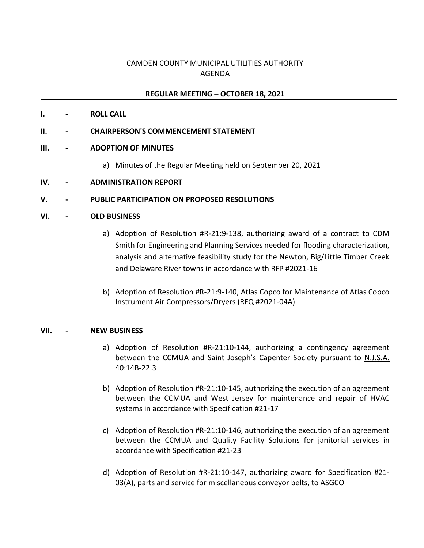# CAMDEN COUNTY MUNICIPAL UTILITIES AUTHORITY AGENDA

## **REGULAR MEETING – OCTOBER 18, 2021**

**I. - ROLL CALL**

#### **II. - CHAIRPERSON'S COMMENCEMENT STATEMENT**

### **III. - ADOPTION OF MINUTES**

- a) Minutes of the Regular Meeting held on September 20, 2021
- **IV. - ADMINISTRATION REPORT**

### **V. - PUBLIC PARTICIPATION ON PROPOSED RESOLUTIONS**

#### **VI. - OLD BUSINESS**

- a) Adoption of Resolution #R-21:9-138, authorizing award of a contract to CDM Smith for Engineering and Planning Services needed for flooding characterization, analysis and alternative feasibility study for the Newton, Big/Little Timber Creek and Delaware River towns in accordance with RFP #2021-16
- b) Adoption of Resolution #R-21:9-140, Atlas Copco for Maintenance of Atlas Copco Instrument Air Compressors/Dryers (RFQ #2021-04A)

#### **VII. - NEW BUSINESS**

- a) Adoption of Resolution #R-21:10-144, authorizing a contingency agreement between the CCMUA and Saint Joseph's Capenter Society pursuant to N.J.S.A. 40:14B-22.3
- b) Adoption of Resolution #R-21:10-145, authorizing the execution of an agreement between the CCMUA and West Jersey for maintenance and repair of HVAC systems in accordance with Specification #21-17
- c) Adoption of Resolution #R-21:10-146, authorizing the execution of an agreement between the CCMUA and Quality Facility Solutions for janitorial services in accordance with Specification #21-23
- d) Adoption of Resolution #R-21:10-147, authorizing award for Specification #21- 03(A), parts and service for miscellaneous conveyor belts, to ASGCO